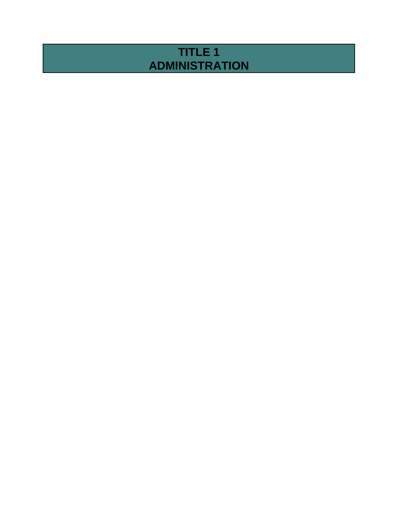# **TITLE 1 ADMINISTRATION**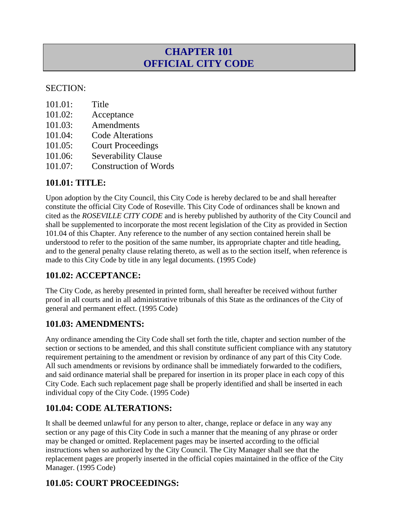# **CHAPTER 101 OFFICIAL CITY CODE**

#### SECTION:

| 101.01: | Title |
|---------|-------|
|---------|-------|

- 101.02: Acceptance
- 101.03: Amendments
- 101.04: Code Alterations
- 101.05: Court Proceedings
- 101.06: Severability Clause
- 101.07: Construction of Words

#### **101.01: TITLE:**

Upon adoption by the City Council, this City Code is hereby declared to be and shall hereafter constitute the official City Code of Roseville. This City Code of ordinances shall be known and cited as the *ROSEVILLE CITY CODE* and is hereby published by authority of the City Council and shall be supplemented to incorporate the most recent legislation of the City as provided in Section 101.04 of this Chapter. Any reference to the number of any section contained herein shall be understood to refer to the position of the same number, its appropriate chapter and title heading, and to the general penalty clause relating thereto, as well as to the section itself, when reference is made to this City Code by title in any legal documents. (1995 Code)

### **101.02: ACCEPTANCE:**

The City Code, as hereby presented in printed form, shall hereafter be received without further proof in all courts and in all administrative tribunals of this State as the ordinances of the City of general and permanent effect. (1995 Code)

### **101.03: AMENDMENTS:**

Any ordinance amending the City Code shall set forth the title, chapter and section number of the section or sections to be amended, and this shall constitute sufficient compliance with any statutory requirement pertaining to the amendment or revision by ordinance of any part of this City Code. All such amendments or revisions by ordinance shall be immediately forwarded to the codifiers, and said ordinance material shall be prepared for insertion in its proper place in each copy of this City Code. Each such replacement page shall be properly identified and shall be inserted in each individual copy of the City Code. (1995 Code)

### **101.04: CODE ALTERATIONS:**

It shall be deemed unlawful for any person to alter, change, replace or deface in any way any section or any page of this City Code in such a manner that the meaning of any phrase or order may be changed or omitted. Replacement pages may be inserted according to the official instructions when so authorized by the City Council. The City Manager shall see that the replacement pages are properly inserted in the official copies maintained in the office of the City Manager. (1995 Code)

# **101.05: COURT PROCEEDINGS:**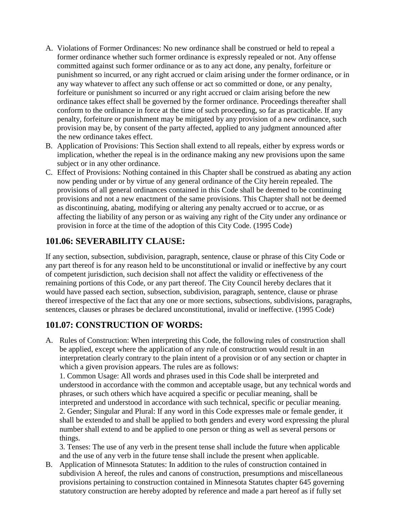- A. Violations of Former Ordinances: No new ordinance shall be construed or held to repeal a former ordinance whether such former ordinance is expressly repealed or not. Any offense committed against such former ordinance or as to any act done, any penalty, forfeiture or punishment so incurred, or any right accrued or claim arising under the former ordinance, or in any way whatever to affect any such offense or act so committed or done, or any penalty, forfeiture or punishment so incurred or any right accrued or claim arising before the new ordinance takes effect shall be governed by the former ordinance. Proceedings thereafter shall conform to the ordinance in force at the time of such proceeding, so far as practicable. If any penalty, forfeiture or punishment may be mitigated by any provision of a new ordinance, such provision may be, by consent of the party affected, applied to any judgment announced after the new ordinance takes effect.
- B. Application of Provisions: This Section shall extend to all repeals, either by express words or implication, whether the repeal is in the ordinance making any new provisions upon the same subject or in any other ordinance.
- C. Effect of Provisions: Nothing contained in this Chapter shall be construed as abating any action now pending under or by virtue of any general ordinance of the City herein repealed. The provisions of all general ordinances contained in this Code shall be deemed to be continuing provisions and not a new enactment of the same provisions. This Chapter shall not be deemed as discontinuing, abating, modifying or altering any penalty accrued or to accrue, or as affecting the liability of any person or as waiving any right of the City under any ordinance or provision in force at the time of the adoption of this City Code. (1995 Code)

### **101.06: SEVERABILITY CLAUSE:**

If any section, subsection, subdivision, paragraph, sentence, clause or phrase of this City Code or any part thereof is for any reason held to be unconstitutional or invalid or ineffective by any court of competent jurisdiction, such decision shall not affect the validity or effectiveness of the remaining portions of this Code, or any part thereof. The City Council hereby declares that it would have passed each section, subsection, subdivision, paragraph, sentence, clause or phrase thereof irrespective of the fact that any one or more sections, subsections, subdivisions, paragraphs, sentences, clauses or phrases be declared unconstitutional, invalid or ineffective. (1995 Code)

### **101.07: CONSTRUCTION OF WORDS:**

A. Rules of Construction: When interpreting this Code, the following rules of construction shall be applied, except where the application of any rule of construction would result in an interpretation clearly contrary to the plain intent of a provision or of any section or chapter in which a given provision appears. The rules are as follows:

1. Common Usage: All words and phrases used in this Code shall be interpreted and understood in accordance with the common and acceptable usage, but any technical words and phrases, or such others which have acquired a specific or peculiar meaning, shall be interpreted and understood in accordance with such technical, specific or peculiar meaning. 2. Gender; Singular and Plural: If any word in this Code expresses male or female gender, it shall be extended to and shall be applied to both genders and every word expressing the plural number shall extend to and be applied to one person or thing as well as several persons or things.

3. Tenses: The use of any verb in the present tense shall include the future when applicable and the use of any verb in the future tense shall include the present when applicable.

B. Application of Minnesota Statutes: In addition to the rules of construction contained in subdivision A hereof, the rules and canons of construction, presumptions and miscellaneous provisions pertaining to construction contained in Minnesota Statutes chapter 645 governing statutory construction are hereby adopted by reference and made a part hereof as if fully set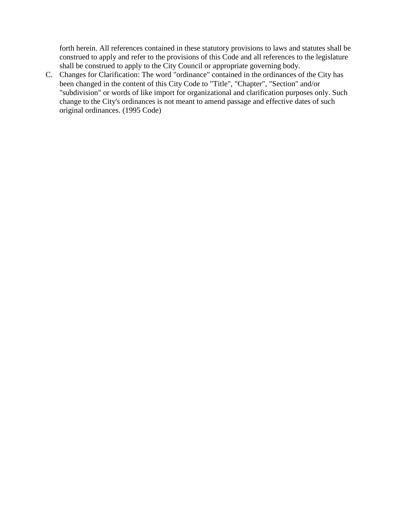forth herein. All references contained in these statutory provisions to laws and statutes shall be construed to apply and refer to the provisions of this Code and all references to the legislature shall be construed to apply to the City Council or appropriate governing body.

C. Changes for Clarification: The word "ordinance" contained in the ordinances of the City has been changed in the content of this City Code to "Title", "Chapter", "Section" and/or "subdivision" or words of like import for organizational and clarification purposes only. Such change to the City's ordinances is not meant to amend passage and effective dates of such original ordinances. (1995 Code)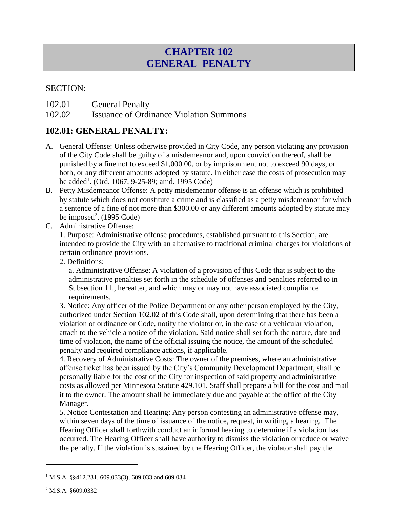# **CHAPTER 102 GENERAL PENALTY**

#### SECTION:

102.01 General Penalty

102.02 Issuance of Ordinance Violation Summons

#### **102.01: GENERAL PENALTY:**

- A. General Offense: Unless otherwise provided in City Code, any person violating any provision of the City Code shall be guilty of a misdemeanor and, upon conviction thereof, shall be punished by a fine not to exceed \$1,000.00, or by imprisonment not to exceed 90 days, or both, or any different amounts adopted by statute. In either case the costs of prosecution may be added<sup>1</sup>. (Ord. 1067, 9-25-89; amd. 1995 Code)
- B. Petty Misdemeanor Offense: A petty misdemeanor offense is an offense which is prohibited by statute which does not constitute a crime and is classified as a petty misdemeanor for which a sentence of a fine of not more than \$300.00 or any different amounts adopted by statute may be imposed<sup>2</sup>.  $(1995 \text{ Code})$
- C. Administrative Offense:

1. Purpose: Administrative offense procedures, established pursuant to this Section, are intended to provide the City with an alternative to traditional criminal charges for violations of certain ordinance provisions.

2. Definitions:

a. Administrative Offense: A violation of a provision of this Code that is subject to the administrative penalties set forth in the schedule of offenses and penalties referred to in Subsection 11., hereafter, and which may or may not have associated compliance requirements.

3. Notice: Any officer of the Police Department or any other person employed by the City, authorized under Section 102.02 of this Code shall, upon determining that there has been a violation of ordinance or Code, notify the violator or, in the case of a vehicular violation, attach to the vehicle a notice of the violation. Said notice shall set forth the nature, date and time of violation, the name of the official issuing the notice, the amount of the scheduled penalty and required compliance actions, if applicable.

4. Recovery of Administrative Costs: The owner of the premises, where an administrative offense ticket has been issued by the City's Community Development Department, shall be personally liable for the cost of the City for inspection of said property and administrative costs as allowed per Minnesota Statute 429.101. Staff shall prepare a bill for the cost and mail it to the owner. The amount shall be immediately due and payable at the office of the City Manager.

5. Notice Contestation and Hearing: Any person contesting an administrative offense may, within seven days of the time of issuance of the notice, request, in writing, a hearing. The Hearing Officer shall forthwith conduct an informal hearing to determine if a violation has occurred. The Hearing Officer shall have authority to dismiss the violation or reduce or waive the penalty. If the violation is sustained by the Hearing Officer, the violator shall pay the

 $\overline{a}$ 

<sup>&</sup>lt;sup>1</sup> M.S.A. §§412.231, 609.033(3), 609.033 and 609.034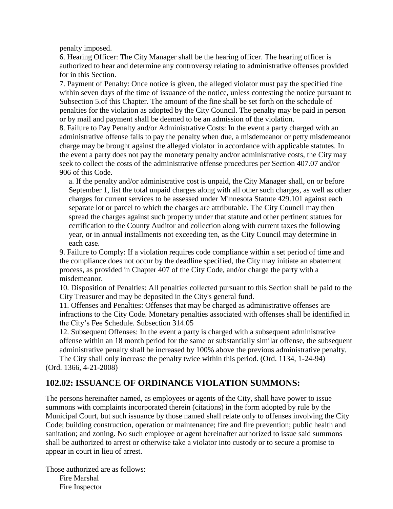penalty imposed.

6. Hearing Officer: The City Manager shall be the hearing officer. The hearing officer is authorized to hear and determine any controversy relating to administrative offenses provided for in this Section.

7. Payment of Penalty: Once notice is given, the alleged violator must pay the specified fine within seven days of the time of issuance of the notice, unless contesting the notice pursuant to Subsection 5.of this Chapter. The amount of the fine shall be set forth on the schedule of penalties for the violation as adopted by the City Council. The penalty may be paid in person or by mail and payment shall be deemed to be an admission of the violation.

8. Failure to Pay Penalty and/or Administrative Costs: In the event a party charged with an administrative offense fails to pay the penalty when due, a misdemeanor or petty misdemeanor charge may be brought against the alleged violator in accordance with applicable statutes. In the event a party does not pay the monetary penalty and/or administrative costs, the City may seek to collect the costs of the administrative offense procedures per Section 407.07 and/or 906 of this Code.

a. If the penalty and/or administrative cost is unpaid, the City Manager shall, on or before September 1, list the total unpaid charges along with all other such charges, as well as other charges for current services to be assessed under Minnesota Statute 429.101 against each separate lot or parcel to which the charges are attributable. The City Council may then spread the charges against such property under that statute and other pertinent statues for certification to the County Auditor and collection along with current taxes the following year, or in annual installments not exceeding ten, as the City Council may determine in each case.

9. Failure to Comply: If a violation requires code compliance within a set period of time and the compliance does not occur by the deadline specified, the City may initiate an abatement process, as provided in Chapter 407 of the City Code, and/or charge the party with a misdemeanor.

10. Disposition of Penalties: All penalties collected pursuant to this Section shall be paid to the City Treasurer and may be deposited in the City's general fund.

11. Offenses and Penalties: Offenses that may be charged as administrative offenses are infractions to the City Code. Monetary penalties associated with offenses shall be identified in the City's Fee Schedule. Subsection 314.05

12. Subsequent Offenses: In the event a party is charged with a subsequent administrative offense within an 18 month period for the same or substantially similar offense, the subsequent administrative penalty shall be increased by 100% above the previous administrative penalty. The City shall only increase the penalty twice within this period. (Ord. 1134, 1-24-94)

(Ord. 1366, 4-21-2008)

### **102.02: ISSUANCE OF ORDINANCE VIOLATION SUMMONS:**

The persons hereinafter named, as employees or agents of the City, shall have power to issue summons with complaints incorporated therein (citations) in the form adopted by rule by the Municipal Court, but such issuance by those named shall relate only to offenses involving the City Code; building construction, operation or maintenance; fire and fire prevention; public health and sanitation; and zoning. No such employee or agent hereinafter authorized to issue said summons shall be authorized to arrest or otherwise take a violator into custody or to secure a promise to appear in court in lieu of arrest.

Those authorized are as follows: Fire Marshal Fire Inspector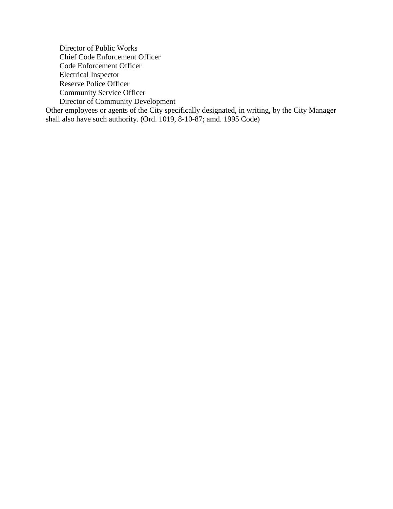Director of Public Works Chief Code Enforcement Officer Code Enforcement Officer Electrical Inspector Reserve Police Officer Community Service Officer Director of Community Development Other employees or agents of the City specifically designated, in writing, by the City Manager shall also have such authority. (Ord. 1019, 8-10-87; amd. 1995 Code)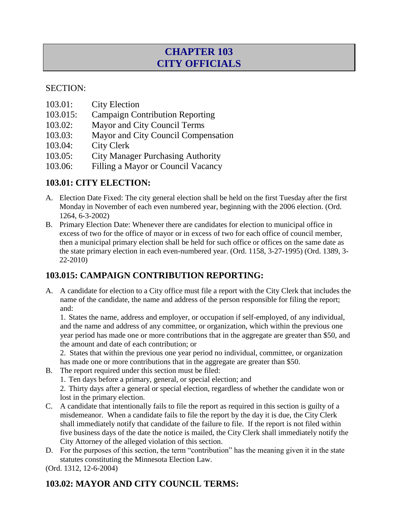# **CHAPTER 103 CITY OFFICIALS**

#### SECTION:

- 103.01: City Election
- 103.015: Campaign Contribution Reporting
- 103.02: Mayor and City Council Terms
- 103.03: Mayor and City Council Compensation
- 103.04: City Clerk
- 103.05: City Manager Purchasing Authority
- 103.06: Filling a Mayor or Council Vacancy

### **103.01: CITY ELECTION:**

- A. Election Date Fixed: The city general election shall be held on the first Tuesday after the first Monday in November of each even numbered year, beginning with the 2006 election. (Ord. 1264, 6-3-2002)
- B. Primary Election Date: Whenever there are candidates for election to municipal office in excess of two for the office of mayor or in excess of two for each office of council member, then a municipal primary election shall be held for such office or offices on the same date as the state primary election in each even-numbered year. (Ord. 1158, 3-27-1995) (Ord. 1389, 3- 22-2010)

### **103.015: CAMPAIGN CONTRIBUTION REPORTING:**

A. A candidate for election to a City office must file a report with the City Clerk that includes the name of the candidate, the name and address of the person responsible for filing the report; and:

1. States the name, address and employer, or occupation if self-employed, of any individual, and the name and address of any committee, or organization, which within the previous one year period has made one or more contributions that in the aggregate are greater than \$50, and the amount and date of each contribution; or

2. States that within the previous one year period no individual, committee, or organization has made one or more contributions that in the aggregate are greater than \$50.

- B. The report required under this section must be filed:
	- 1. Ten days before a primary, general, or special election; and

2. Thirty days after a general or special election, regardless of whether the candidate won or lost in the primary election.

- C. A candidate that intentionally fails to file the report as required in this section is guilty of a misdemeanor. When a candidate fails to file the report by the day it is due, the City Clerk shall immediately notify that candidate of the failure to file. If the report is not filed within five business days of the date the notice is mailed, the City Clerk shall immediately notify the City Attorney of the alleged violation of this section.
- D. For the purposes of this section, the term "contribution" has the meaning given it in the state statutes constituting the Minnesota Election Law.

(Ord. 1312, 12-6-2004)

# **103.02: MAYOR AND CITY COUNCIL TERMS:**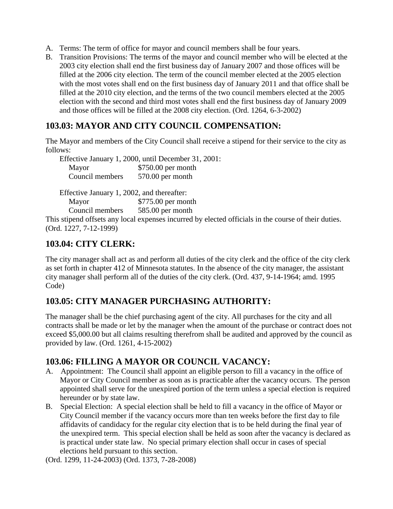- A. Terms: The term of office for mayor and council members shall be four years.
- B. Transition Provisions: The terms of the mayor and council member who will be elected at the 2003 city election shall end the first business day of January 2007 and those offices will be filled at the 2006 city election. The term of the council member elected at the 2005 election with the most votes shall end on the first business day of January 2011 and that office shall be filled at the 2010 city election, and the terms of the two council members elected at the 2005 election with the second and third most votes shall end the first business day of January 2009 and those offices will be filled at the 2008 city election. (Ord. 1264, 6-3-2002)

#### **103.03: MAYOR AND CITY COUNCIL COMPENSATION:**

The Mayor and members of the City Council shall receive a stipend for their service to the city as follows:

Effective January 1, 2000, until December 31, 2001: Mayor \$750.00 per month Council members 570.00 per month

| Effective January 1, 2002, and thereafter: |                    |
|--------------------------------------------|--------------------|
| Mayor                                      | \$775.00 per month |
| Council members                            | 585.00 per month   |
| $\cdots$ $\cdots$ $\cdots$ $\cdots$        |                    |

This stipend offsets any local expenses incurred by elected officials in the course of their duties. (Ord. 1227, 7-12-1999)

#### **103.04: CITY CLERK:**

The city manager shall act as and perform all duties of the city clerk and the office of the city clerk as set forth in chapter 412 of Minnesota statutes. In the absence of the city manager, the assistant city manager shall perform all of the duties of the city clerk. (Ord. 437, 9-14-1964; amd. 1995 Code)

### **103.05: CITY MANAGER PURCHASING AUTHORITY:**

The manager shall be the chief purchasing agent of the city. All purchases for the city and all contracts shall be made or let by the manager when the amount of the purchase or contract does not exceed \$5,000.00 but all claims resulting therefrom shall be audited and approved by the council as provided by law. (Ord. 1261, 4-15-2002)

#### **103.06: FILLING A MAYOR OR COUNCIL VACANCY:**

- A. Appointment: The Council shall appoint an eligible person to fill a vacancy in the office of Mayor or City Council member as soon as is practicable after the vacancy occurs. The person appointed shall serve for the unexpired portion of the term unless a special election is required hereunder or by state law.
- B. Special Election: A special election shall be held to fill a vacancy in the office of Mayor or City Council member if the vacancy occurs more than ten weeks before the first day to file affidavits of candidacy for the regular city election that is to be held during the final year of the unexpired term. This special election shall be held as soon after the vacancy is declared as is practical under state law. No special primary election shall occur in cases of special elections held pursuant to this section.

(Ord. 1299, 11-24-2003) (Ord. 1373, 7-28-2008)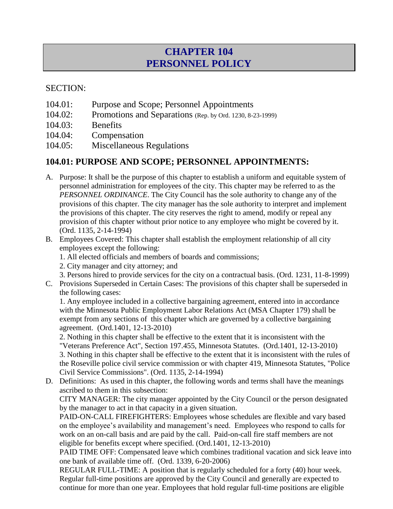# **CHAPTER 104 PERSONNEL POLICY**

#### SECTION:

- 104.01: Purpose and Scope; Personnel Appointments
- 104.02: Promotions and Separations (Rep. by Ord. 1230, 8-23-1999)
- 104.03: Benefits
- 104.04: Compensation
- 104.05: Miscellaneous Regulations

### **104.01: PURPOSE AND SCOPE; PERSONNEL APPOINTMENTS:**

- A. Purpose: It shall be the purpose of this chapter to establish a uniform and equitable system of personnel administration for employees of the city. This chapter may be referred to as the *PERSONNEL ORDINANCE*. The City Council has the sole authority to change any of the provisions of this chapter. The city manager has the sole authority to interpret and implement the provisions of this chapter. The city reserves the right to amend, modify or repeal any provision of this chapter without prior notice to any employee who might be covered by it. (Ord. 1135, 2-14-1994)
- B. Employees Covered: This chapter shall establish the employment relationship of all city employees except the following:
	- 1. All elected officials and members of boards and commissions;
	- 2. City manager and city attorney; and
	- 3. Persons hired to provide services for the city on a contractual basis. (Ord. 1231, 11-8-1999)
- C. Provisions Superseded in Certain Cases: The provisions of this chapter shall be superseded in the following cases:

1. Any employee included in a collective bargaining agreement, entered into in accordance with the Minnesota Public Employment Labor Relations Act (MSA Chapter 179) shall be exempt from any sections of this chapter which are governed by a collective bargaining agreement. (Ord.1401, 12-13-2010)

2. Nothing in this chapter shall be effective to the extent that it is inconsistent with the "Veterans Preference Act", Section 197.455, Minnesota Statutes. (Ord.1401, 12-13-2010) 3. Nothing in this chapter shall be effective to the extent that it is inconsistent with the rules of the Roseville police civil service commission or with chapter 419, Minnesota Statutes, "Police

Civil Service Commissions". (Ord. 1135, 2-14-1994) D. Definitions: As used in this chapter, the following words and terms shall have the meanings ascribed to them in this subsection:

CITY MANAGER: The city manager appointed by the City Council or the person designated by the manager to act in that capacity in a given situation.

PAID-ON-CALL FIREFIGHTERS: Employees whose schedules are flexible and vary based on the employee's availability and management's need. Employees who respond to calls for work on an on-call basis and are paid by the call. Paid-on-call fire staff members are not eligible for benefits except where specified. (Ord.1401, 12-13-2010)

PAID TIME OFF: Compensated leave which combines traditional vacation and sick leave into one bank of available time off. (Ord. 1339, 6-20-2006)

REGULAR FULL-TIME: A position that is regularly scheduled for a forty (40) hour week. Regular full-time positions are approved by the City Council and generally are expected to continue for more than one year. Employees that hold regular full-time positions are eligible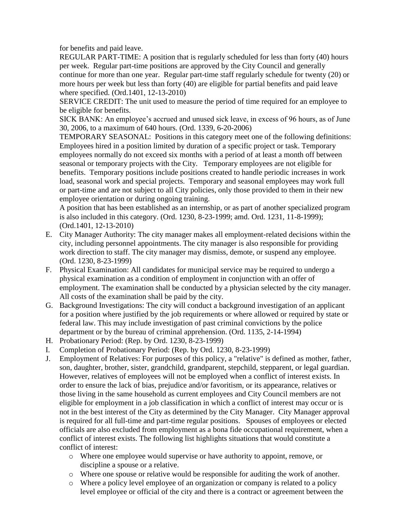for benefits and paid leave.

REGULAR PART-TIME: A position that is regularly scheduled for less than forty (40) hours per week. Regular part-time positions are approved by the City Council and generally continue for more than one year. Regular part-time staff regularly schedule for twenty (20) or more hours per week but less than forty (40) are eligible for partial benefits and paid leave where specified. (Ord.1401, 12-13-2010)

SERVICE CREDIT: The unit used to measure the period of time required for an employee to be eligible for benefits.

SICK BANK: An employee's accrued and unused sick leave, in excess of 96 hours, as of June 30, 2006, to a maximum of 640 hours. (Ord. 1339, 6-20-2006)

TEMPORARY SEASONAL: Positions in this category meet one of the following definitions: Employees hired in a position limited by duration of a specific project or task. Temporary employees normally do not exceed six months with a period of at least a month off between seasonal or temporary projects with the City. Temporary employees are not eligible for benefits. Temporary positions include positions created to handle periodic increases in work load, seasonal work and special projects. Temporary and seasonal employees may work full or part-time and are not subject to all City policies, only those provided to them in their new employee orientation or during ongoing training.

A position that has been established as an internship, or as part of another specialized program is also included in this category. (Ord. 1230, 8-23-1999; amd. Ord. 1231, 11-8-1999); (Ord.1401, 12-13-2010)

- E. City Manager Authority: The city manager makes all employment-related decisions within the city, including personnel appointments. The city manager is also responsible for providing work direction to staff. The city manager may dismiss, demote, or suspend any employee. (Ord. 1230, 8-23-1999)
- F. Physical Examination: All candidates for municipal service may be required to undergo a physical examination as a condition of employment in conjunction with an offer of employment. The examination shall be conducted by a physician selected by the city manager. All costs of the examination shall be paid by the city.
- G. Background Investigations: The city will conduct a background investigation of an applicant for a position where justified by the job requirements or where allowed or required by state or federal law. This may include investigation of past criminal convictions by the police department or by the bureau of criminal apprehension. (Ord. 1135, 2-14-1994)
- H. Probationary Period: (Rep. by Ord. 1230, 8-23-1999)
- I. Completion of Probationary Period: (Rep. by Ord. 1230, 8-23-1999)
- J. Employment of Relatives: For purposes of this policy, a "relative" is defined as mother, father, son, daughter, brother, sister, grandchild, grandparent, stepchild, stepparent, or legal guardian. However, relatives of employees will not be employed when a conflict of interest exists. In order to ensure the lack of bias, prejudice and/or favoritism, or its appearance, relatives or those living in the same household as current employees and City Council members are not eligible for employment in a job classification in which a conflict of interest may occur or is not in the best interest of the City as determined by the City Manager. City Manager approval is required for all full-time and part-time regular positions. Spouses of employees or elected officials are also excluded from employment as a bona fide occupational requirement, when a conflict of interest exists. The following list highlights situations that would constitute a conflict of interest:
	- o Where one employee would supervise or have authority to appoint, remove, or discipline a spouse or a relative.
	- o Where one spouse or relative would be responsible for auditing the work of another.
	- o Where a policy level employee of an organization or company is related to a policy level employee or official of the city and there is a contract or agreement between the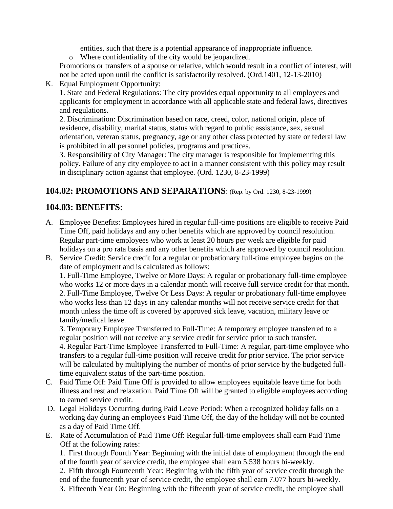entities, such that there is a potential appearance of inappropriate influence.

o Where confidentiality of the city would be jeopardized.

Promotions or transfers of a spouse or relative, which would result in a conflict of interest, will not be acted upon until the conflict is satisfactorily resolved. (Ord.1401, 12-13-2010)

K. Equal Employment Opportunity:

1. State and Federal Regulations: The city provides equal opportunity to all employees and applicants for employment in accordance with all applicable state and federal laws, directives and regulations.

2. Discrimination: Discrimination based on race, creed, color, national origin, place of residence, disability, marital status, status with regard to public assistance, sex, sexual orientation, veteran status, pregnancy, age or any other class protected by state or federal law is prohibited in all personnel policies, programs and practices.

3. Responsibility of City Manager: The city manager is responsible for implementing this policy. Failure of any city employee to act in a manner consistent with this policy may result in disciplinary action against that employee. (Ord. 1230, 8-23-1999)

#### **104.02: PROMOTIONS AND SEPARATIONS**: (Rep. by Ord. 1230, 8-23-1999)

#### **104.03: BENEFITS:**

- A. Employee Benefits: Employees hired in regular full-time positions are eligible to receive Paid Time Off, paid holidays and any other benefits which are approved by council resolution. Regular part-time employees who work at least 20 hours per week are eligible for paid holidays on a pro rata basis and any other benefits which are approved by council resolution.
- B. Service Credit: Service credit for a regular or probationary full-time employee begins on the date of employment and is calculated as follows:

1. Full-Time Employee, Twelve or More Days: A regular or probationary full-time employee who works 12 or more days in a calendar month will receive full service credit for that month. 2. Full-Time Employee, Twelve Or Less Days: A regular or probationary full-time employee who works less than 12 days in any calendar months will not receive service credit for that month unless the time off is covered by approved sick leave, vacation, military leave or family/medical leave.

3. Temporary Employee Transferred to Full-Time: A temporary employee transferred to a regular position will not receive any service credit for service prior to such transfer. 4. Regular Part-Time Employee Transferred to Full-Time: A regular, part-time employee who transfers to a regular full-time position will receive credit for prior service. The prior service will be calculated by multiplying the number of months of prior service by the budgeted fulltime equivalent status of the part-time position.

- C. Paid Time Off: Paid Time Off is provided to allow employees equitable leave time for both illness and rest and relaxation. Paid Time Off will be granted to eligible employees according to earned service credit.
- D. Legal Holidays Occurring during Paid Leave Period: When a recognized holiday falls on a working day during an employee's Paid Time Off, the day of the holiday will not be counted as a day of Paid Time Off.
- E. Rate of Accumulation of Paid Time Off: Regular full-time employees shall earn Paid Time Off at the following rates:

1. First through Fourth Year: Beginning with the initial date of employment through the end of the fourth year of service credit, the employee shall earn 5.538 hours bi-weekly.

2. Fifth through Fourteenth Year: Beginning with the fifth year of service credit through the end of the fourteenth year of service credit, the employee shall earn 7.077 hours bi-weekly.

3. Fifteenth Year On: Beginning with the fifteenth year of service credit, the employee shall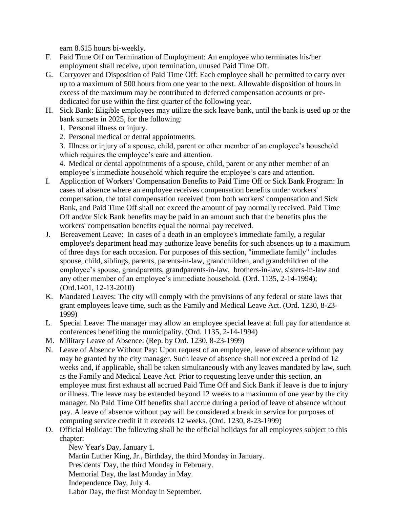earn 8.615 hours bi-weekly.

- F. Paid Time Off on Termination of Employment: An employee who terminates his/her employment shall receive, upon termination, unused Paid Time Off.
- G. Carryover and Disposition of Paid Time Off: Each employee shall be permitted to carry over up to a maximum of 500 hours from one year to the next. Allowable disposition of hours in excess of the maximum may be contributed to deferred compensation accounts or prededicated for use within the first quarter of the following year.
- H. Sick Bank: Eligible employees may utilize the sick leave bank, until the bank is used up or the bank sunsets in 2025, for the following:
	- 1. Personal illness or injury.
	- 2. Personal medical or dental appointments.

3. Illness or injury of a spouse, child, parent or other member of an employee's household which requires the employee's care and attention.

4. Medical or dental appointments of a spouse, child, parent or any other member of an employee's immediate household which require the employee's care and attention.

- I. Application of Workers' Compensation Benefits to Paid Time Off or Sick Bank Program: In cases of absence where an employee receives compensation benefits under workers' compensation, the total compensation received from both workers' compensation and Sick Bank, and Paid Time Off shall not exceed the amount of pay normally received. Paid Time Off and/or Sick Bank benefits may be paid in an amount such that the benefits plus the workers' compensation benefits equal the normal pay received.
- J. Bereavement Leave: In cases of a death in an employee's immediate family, a regular employee's department head may authorize leave benefits for such absences up to a maximum of three days for each occasion. For purposes of this section, "immediate family" includes spouse, child, siblings, parents, parents-in-law, grandchildren, and grandchildren of the employee's spouse, grandparents, grandparents-in-law, brothers-in-law, sisters-in-law and any other member of an employee's immediate household. (Ord. 1135, 2-14-1994); (Ord.1401, 12-13-2010)
- K. Mandated Leaves: The city will comply with the provisions of any federal or state laws that grant employees leave time, such as the Family and Medical Leave Act. (Ord. 1230, 8-23- 1999)
- L. Special Leave: The manager may allow an employee special leave at full pay for attendance at conferences benefiting the municipality. (Ord. 1135, 2-14-1994)
- M. Military Leave of Absence: (Rep. by Ord. 1230, 8-23-1999)
- N. Leave of Absence Without Pay: Upon request of an employee, leave of absence without pay may be granted by the city manager. Such leave of absence shall not exceed a period of 12 weeks and, if applicable, shall be taken simultaneously with any leaves mandated by law, such as the Family and Medical Leave Act. Prior to requesting leave under this section, an employee must first exhaust all accrued Paid Time Off and Sick Bank if leave is due to injury or illness. The leave may be extended beyond 12 weeks to a maximum of one year by the city manager. No Paid Time Off benefits shall accrue during a period of leave of absence without pay. A leave of absence without pay will be considered a break in service for purposes of computing service credit if it exceeds 12 weeks. (Ord. 1230, 8-23-1999)
- O. Official Holiday: The following shall be the official holidays for all employees subject to this chapter:

New Year's Day, January 1. Martin Luther King, Jr., Birthday, the third Monday in January. Presidents' Day, the third Monday in February. Memorial Day, the last Monday in May. Independence Day, July 4. Labor Day, the first Monday in September.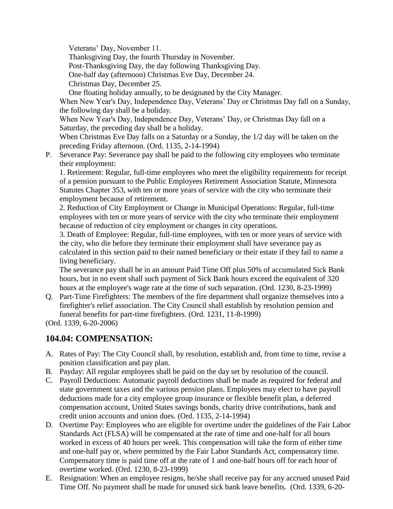Veterans' Day, November 11.

Thanksgiving Day, the fourth Thursday in November.

Post-Thanksgiving Day, the day following Thanksgiving Day.

One-half day (afternoon) Christmas Eve Day, December 24.

Christmas Day, December 25.

One floating holiday annually, to be designated by the City Manager.

When New Year's Day, Independence Day, Veterans' Day or Christmas Day fall on a Sunday, the following day shall be a holiday.

When New Year's Day, Independence Day, Veterans' Day, or Christmas Day fall on a Saturday, the preceding day shall be a holiday.

When Christmas Eve Day falls on a Saturday or a Sunday, the 1/2 day will be taken on the preceding Friday afternoon. (Ord. 1135, 2-14-1994)

P. Severance Pay: Severance pay shall be paid to the following city employees who terminate their employment:

1. Retirement: Regular, full-time employees who meet the eligibility requirements for receipt of a pension pursuant to the Public Employees Retirement Association Statute, Minnesota Statutes Chapter 353, with ten or more years of service with the city who terminate their employment because of retirement.

2. Reduction of City Employment or Change in Municipal Operations: Regular, full-time employees with ten or more years of service with the city who terminate their employment because of reduction of city employment or changes in city operations.

3. Death of Employee: Regular, full-time employees, with ten or more years of service with the city, who die before they terminate their employment shall have severance pay as calculated in this section paid to their named beneficiary or their estate if they fail to name a living beneficiary.

The severance pay shall be in an amount Paid Time Off plus 50% of accumulated Sick Bank hours, but in no event shall such payment of Sick Bank hours exceed the equivalent of 320 hours at the employee's wage rate at the time of such separation. (Ord. 1230, 8-23-1999)

Q. Part-Time Firefighters: The members of the fire department shall organize themselves into a firefighter's relief association. The City Council shall establish by resolution pension and funeral benefits for part-time firefighters. (Ord. 1231, 11-8-1999)

(Ord. 1339, 6-20-2006)

### **104.04: COMPENSATION:**

- A. Rates of Pay: The City Council shall, by resolution, establish and, from time to time, revise a position classification and pay plan.
- B. Payday: All regular employees shall be paid on the day set by resolution of the council.
- C. Payroll Deductions: Automatic payroll deductions shall be made as required for federal and state government taxes and the various pension plans. Employees may elect to have payroll deductions made for a city employee group insurance or flexible benefit plan, a deferred compensation account, United States savings bonds, charity drive contributions, bank and credit union accounts and union dues. (Ord. 1135, 2-14-1994)
- D. Overtime Pay: Employees who are eligible for overtime under the guidelines of the Fair Labor Standards Act (FLSA) will be compensated at the rate of time and one-half for all hours worked in excess of 40 hours per week. This compensation will take the form of either time and one-half pay or, where permitted by the Fair Labor Standards Act, compensatory time. Compensatory time is paid time off at the rate of 1 and one-half hours off for each hour of overtime worked. (Ord. 1230, 8-23-1999)
- E. Resignation: When an employee resigns, he/she shall receive pay for any accrued unused Paid Time Off. No payment shall be made for unused sick bank leave benefits. (Ord. 1339, 6-20-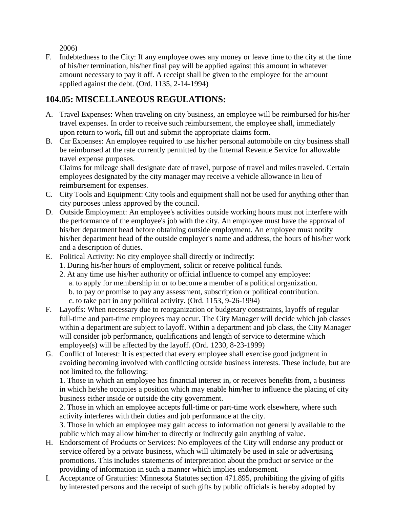2006)

F. Indebtedness to the City: If any employee owes any money or leave time to the city at the time of his/her termination, his/her final pay will be applied against this amount in whatever amount necessary to pay it off. A receipt shall be given to the employee for the amount applied against the debt. (Ord. 1135, 2-14-1994)

### **104.05: MISCELLANEOUS REGULATIONS:**

- A. Travel Expenses: When traveling on city business, an employee will be reimbursed for his/her travel expenses. In order to receive such reimbursement, the employee shall, immediately upon return to work, fill out and submit the appropriate claims form.
- B. Car Expenses: An employee required to use his/her personal automobile on city business shall be reimbursed at the rate currently permitted by the Internal Revenue Service for allowable travel expense purposes.

Claims for mileage shall designate date of travel, purpose of travel and miles traveled. Certain employees designated by the city manager may receive a vehicle allowance in lieu of reimbursement for expenses.

- C. City Tools and Equipment: City tools and equipment shall not be used for anything other than city purposes unless approved by the council.
- D. Outside Employment: An employee's activities outside working hours must not interfere with the performance of the employee's job with the city. An employee must have the approval of his/her department head before obtaining outside employment. An employee must notify his/her department head of the outside employer's name and address, the hours of his/her work and a description of duties.
- E. Political Activity: No city employee shall directly or indirectly:
	- 1. During his/her hours of employment, solicit or receive political funds.
	- 2. At any time use his/her authority or official influence to compel any employee: a. to apply for membership in or to become a member of a political organization. b. to pay or promise to pay any assessment, subscription or political contribution. c. to take part in any political activity. (Ord. 1153, 9-26-1994)
- F. Layoffs: When necessary due to reorganization or budgetary constraints, layoffs of regular full-time and part-time employees may occur. The City Manager will decide which job classes within a department are subject to layoff. Within a department and job class, the City Manager will consider job performance, qualifications and length of service to determine which employee(s) will be affected by the layoff. (Ord. 1230, 8-23-1999)
- G. Conflict of Interest: It is expected that every employee shall exercise good judgment in avoiding becoming involved with conflicting outside business interests. These include, but are not limited to, the following:

1. Those in which an employee has financial interest in, or receives benefits from, a business in which he/she occupies a position which may enable him/her to influence the placing of city business either inside or outside the city government.

2. Those in which an employee accepts full-time or part-time work elsewhere, where such activity interferes with their duties and job performance at the city.

3. Those in which an employee may gain access to information not generally available to the public which may allow him/her to directly or indirectly gain anything of value.

- H. Endorsement of Products or Services: No employees of the City will endorse any product or service offered by a private business, which will ultimately be used in sale or advertising promotions. This includes statements of interpretation about the product or service or the providing of information in such a manner which implies endorsement.
- I. Acceptance of Gratuities: Minnesota Statutes section 471.895, prohibiting the giving of gifts by interested persons and the receipt of such gifts by public officials is hereby adopted by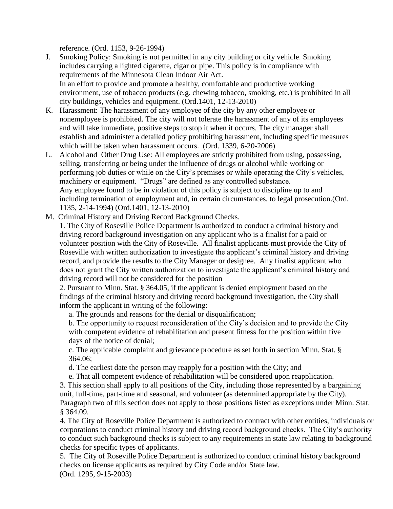reference. (Ord. 1153, 9-26-1994)

- J. Smoking Policy: Smoking is not permitted in any city building or city vehicle. Smoking includes carrying a lighted cigarette, cigar or pipe. This policy is in compliance with requirements of the Minnesota Clean Indoor Air Act. In an effort to provide and promote a healthy, comfortable and productive working environment, use of tobacco products (e.g. chewing tobacco, smoking, etc.) is prohibited in all city buildings, vehicles and equipment. (Ord.1401, 12-13-2010)
- K. Harassment: The harassment of any employee of the city by any other employee or nonemployee is prohibited. The city will not tolerate the harassment of any of its employees and will take immediate, positive steps to stop it when it occurs. The city manager shall establish and administer a detailed policy prohibiting harassment, including specific measures which will be taken when harassment occurs. (Ord. 1339, 6-20-2006)
- L. Alcohol and Other Drug Use: All employees are strictly prohibited from using, possessing, selling, transferring or being under the influence of drugs or alcohol while working or performing job duties or while on the City's premises or while operating the City's vehicles, machinery or equipment. "Drugs" are defined as any controlled substance. Any employee found to be in violation of this policy is subject to discipline up to and including termination of employment and, in certain circumstances, to legal prosecution.(Ord. 1135, 2-14-1994) (Ord.1401, 12-13-2010)
- M. Criminal History and Driving Record Background Checks.

1. The City of Roseville Police Department is authorized to conduct a criminal history and driving record background investigation on any applicant who is a finalist for a paid or volunteer position with the City of Roseville. All finalist applicants must provide the City of Roseville with written authorization to investigate the applicant's criminal history and driving record, and provide the results to the City Manager or designee. Any finalist applicant who does not grant the City written authorization to investigate the applicant's criminal history and driving record will not be considered for the position

2. Pursuant to Minn. Stat. § 364.05, if the applicant is denied employment based on the findings of the criminal history and driving record background investigation, the City shall inform the applicant in writing of the following:

a. The grounds and reasons for the denial or disqualification;

b. The opportunity to request reconsideration of the City's decision and to provide the City with competent evidence of rehabilitation and present fitness for the position within five days of the notice of denial;

c. The applicable complaint and grievance procedure as set forth in section Minn. Stat. § 364.06;

d. The earliest date the person may reapply for a position with the City; and

e. That all competent evidence of rehabilitation will be considered upon reapplication.

3. This section shall apply to all positions of the City, including those represented by a bargaining unit, full-time, part-time and seasonal, and volunteer (as determined appropriate by the City). Paragraph two of this section does not apply to those positions listed as exceptions under Minn. Stat. § 364.09.

4. The City of Roseville Police Department is authorized to contract with other entities, individuals or corporations to conduct criminal history and driving record background checks. The City's authority to conduct such background checks is subject to any requirements in state law relating to background checks for specific types of applicants.

5. The City of Roseville Police Department is authorized to conduct criminal history background checks on license applicants as required by City Code and/or State law. (Ord. 1295, 9-15-2003)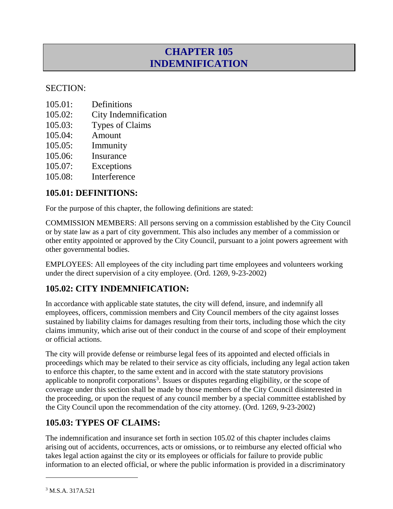# **CHAPTER 105 INDEMNIFICATION**

#### SECTION:

- 105.01: Definitions
- 105.02: City Indemnification
- 105.03: Types of Claims
- 105.04: Amount
- 105.05: Immunity
- 105.06: Insurance
- 105.07: Exceptions
- 105.08: Interference

#### **105.01: DEFINITIONS:**

For the purpose of this chapter, the following definitions are stated:

COMMISSION MEMBERS: All persons serving on a commission established by the City Council or by state law as a part of city government. This also includes any member of a commission or other entity appointed or approved by the City Council, pursuant to a joint powers agreement with other governmental bodies.

EMPLOYEES: All employees of the city including part time employees and volunteers working under the direct supervision of a city employee. (Ord. 1269, 9-23-2002)

### **105.02: CITY INDEMNIFICATION:**

In accordance with applicable state statutes, the city will defend, insure, and indemnify all employees, officers, commission members and City Council members of the city against losses sustained by liability claims for damages resulting from their torts, including those which the city claims immunity, which arise out of their conduct in the course of and scope of their employment or official actions.

The city will provide defense or reimburse legal fees of its appointed and elected officials in proceedings which may be related to their service as city officials, including any legal action taken to enforce this chapter, to the same extent and in accord with the state statutory provisions applicable to nonprofit corporations<sup>3</sup>. Issues or disputes regarding eligibility, or the scope of coverage under this section shall be made by those members of the City Council disinterested in the proceeding, or upon the request of any council member by a special committee established by the City Council upon the recommendation of the city attorney. (Ord. 1269, 9-23-2002)

### **105.03: TYPES OF CLAIMS:**

The indemnification and insurance set forth in section 105.02 of this chapter includes claims arising out of accidents, occurrences, acts or omissions, or to reimburse any elected official who takes legal action against the city or its employees or officials for failure to provide public information to an elected official, or where the public information is provided in a discriminatory

 $\overline{a}$ 

<sup>3</sup> M.S.A. 317A.521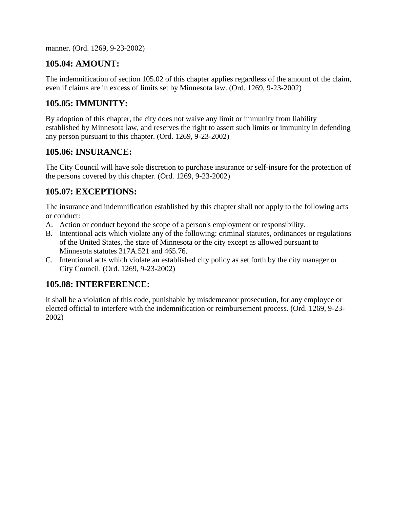manner. (Ord. 1269, 9-23-2002)

### **105.04: AMOUNT:**

The indemnification of section 105.02 of this chapter applies regardless of the amount of the claim, even if claims are in excess of limits set by Minnesota law. (Ord. 1269, 9-23-2002)

### **105.05: IMMUNITY:**

By adoption of this chapter, the city does not waive any limit or immunity from liability established by Minnesota law, and reserves the right to assert such limits or immunity in defending any person pursuant to this chapter. (Ord. 1269, 9-23-2002)

#### **105.06: INSURANCE:**

The City Council will have sole discretion to purchase insurance or self-insure for the protection of the persons covered by this chapter. (Ord. 1269, 9-23-2002)

### **105.07: EXCEPTIONS:**

The insurance and indemnification established by this chapter shall not apply to the following acts or conduct:

- A. Action or conduct beyond the scope of a person's employment or responsibility.
- B. Intentional acts which violate any of the following: criminal statutes, ordinances or regulations of the United States, the state of Minnesota or the city except as allowed pursuant to Minnesota statutes 317A.521 and 465.76.
- C. Intentional acts which violate an established city policy as set forth by the city manager or City Council. (Ord. 1269, 9-23-2002)

### **105.08: INTERFERENCE:**

It shall be a violation of this code, punishable by misdemeanor prosecution, for any employee or elected official to interfere with the indemnification or reimbursement process. (Ord. 1269, 9-23- 2002)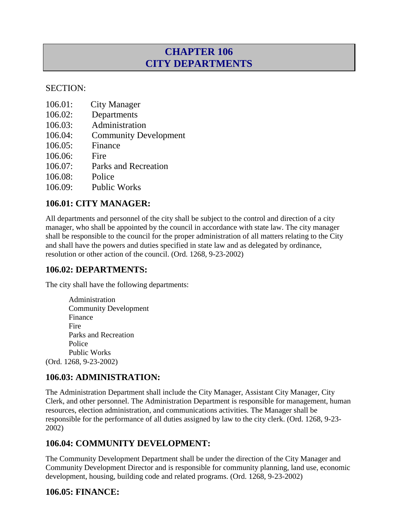# **CHAPTER 106 CITY DEPARTMENTS**

#### SECTION:

- 106.01: City Manager
- 106.02: Departments
- 106.03: Administration
- 106.04: Community Development
- 106.05: Finance
- 106.06: Fire
- 106.07: Parks and Recreation
- 106.08: Police
- 106.09: Public Works

#### **106.01: CITY MANAGER:**

All departments and personnel of the city shall be subject to the control and direction of a city manager, who shall be appointed by the council in accordance with state law. The city manager shall be responsible to the council for the proper administration of all matters relating to the City and shall have the powers and duties specified in state law and as delegated by ordinance, resolution or other action of the council. (Ord. 1268, 9-23-2002)

### **106.02: DEPARTMENTS:**

The city shall have the following departments:

Administration Community Development Finance Fire Parks and Recreation Police Public Works (Ord. 1268, 9-23-2002)

### **106.03: ADMINISTRATION:**

The Administration Department shall include the City Manager, Assistant City Manager, City Clerk, and other personnel. The Administration Department is responsible for management, human resources, election administration, and communications activities. The Manager shall be responsible for the performance of all duties assigned by law to the city clerk. (Ord. 1268, 9-23- 2002)

### **106.04: COMMUNITY DEVELOPMENT:**

The Community Development Department shall be under the direction of the City Manager and Community Development Director and is responsible for community planning, land use, economic development, housing, building code and related programs. (Ord. 1268, 9-23-2002)

### **106.05: FINANCE:**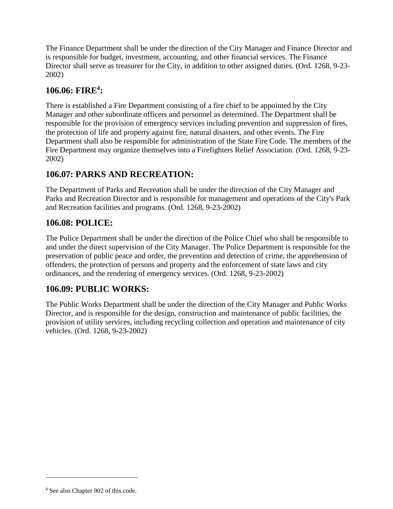The Finance Department shall be under the direction of the City Manager and Finance Director and is responsible for budget, investment, accounting, and other financial services. The Finance Director shall serve as treasurer for the City, in addition to other assigned duties. (Ord. 1268, 9-23- 2002)

#### **106.06: FIRE<sup>4</sup> :**

There is established a Fire Department consisting of a fire chief to be appointed by the City Manager and other subordinate officers and personnel as determined. The Department shall be responsible for the provision of emergency services including prevention and suppression of fires, the protection of life and property against fire, natural disasters, and other events. The Fire Department shall also be responsible for administration of the State Fire Code. The members of the Fire Department may organize themselves into a Firefighters Relief Association. (Ord. 1268, 9-23- 2002)

#### **106.07: PARKS AND RECREATION:**

The Department of Parks and Recreation shall be under the direction of the City Manager and Parks and Recreation Director and is responsible for management and operations of the City's Park and Recreation facilities and programs. (Ord. 1268, 9-23-2002)

#### **106.08: POLICE:**

The Police Department shall be under the direction of the Police Chief who shall be responsible to and under the direct supervision of the City Manager. The Police Department is responsible for the preservation of public peace and order, the prevention and detection of crime, the apprehension of offenders, the protection of persons and property and the enforcement of state laws and city ordinances, and the rendering of emergency services. (Ord. 1268, 9-23-2002)

### **106.09: PUBLIC WORKS:**

The Public Works Department shall be under the direction of the City Manager and Public Works Director, and is responsible for the design, construction and maintenance of public facilities, the provision of utility services, including recycling collection and operation and maintenance of city vehicles. (Ord. 1268, 9-23-2002)

 $\overline{a}$ 

<sup>4</sup> See also Chapter 902 of this code.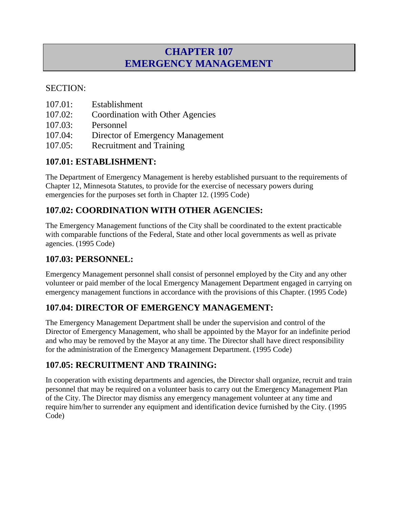# **CHAPTER 107 EMERGENCY MANAGEMENT**

### SECTION:

- 107.01: Establishment
- 107.02: Coordination with Other Agencies
- 107.03: Personnel
- 107.04: Director of Emergency Management
- 107.05: Recruitment and Training

### **107.01: ESTABLISHMENT:**

The Department of Emergency Management is hereby established pursuant to the requirements of Chapter 12, Minnesota Statutes, to provide for the exercise of necessary powers during emergencies for the purposes set forth in Chapter 12. (1995 Code)

### **107.02: COORDINATION WITH OTHER AGENCIES:**

The Emergency Management functions of the City shall be coordinated to the extent practicable with comparable functions of the Federal, State and other local governments as well as private agencies. (1995 Code)

### **107.03: PERSONNEL:**

Emergency Management personnel shall consist of personnel employed by the City and any other volunteer or paid member of the local Emergency Management Department engaged in carrying on emergency management functions in accordance with the provisions of this Chapter. (1995 Code)

### **107.04: DIRECTOR OF EMERGENCY MANAGEMENT:**

The Emergency Management Department shall be under the supervision and control of the Director of Emergency Management, who shall be appointed by the Mayor for an indefinite period and who may be removed by the Mayor at any time. The Director shall have direct responsibility for the administration of the Emergency Management Department. (1995 Code)

### **107.05: RECRUITMENT AND TRAINING:**

In cooperation with existing departments and agencies, the Director shall organize, recruit and train personnel that may be required on a volunteer basis to carry out the Emergency Management Plan of the City. The Director may dismiss any emergency management volunteer at any time and require him/her to surrender any equipment and identification device furnished by the City. (1995 Code)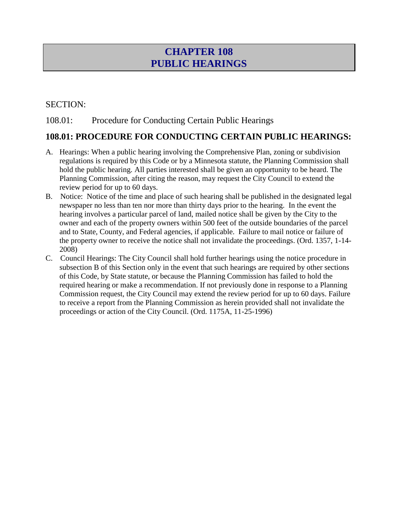# **CHAPTER 108 PUBLIC HEARINGS**

#### SECTION:

#### 108.01: Procedure for Conducting Certain Public Hearings

#### **108.01: PROCEDURE FOR CONDUCTING CERTAIN PUBLIC HEARINGS:**

- A. Hearings: When a public hearing involving the Comprehensive Plan, zoning or subdivision regulations is required by this Code or by a Minnesota statute, the Planning Commission shall hold the public hearing. All parties interested shall be given an opportunity to be heard. The Planning Commission, after citing the reason, may request the City Council to extend the review period for up to 60 days.
- B. Notice: Notice of the time and place of such hearing shall be published in the designated legal newspaper no less than ten nor more than thirty days prior to the hearing. In the event the hearing involves a particular parcel of land, mailed notice shall be given by the City to the owner and each of the property owners within 500 feet of the outside boundaries of the parcel and to State, County, and Federal agencies, if applicable. Failure to mail notice or failure of the property owner to receive the notice shall not invalidate the proceedings. (Ord. 1357, 1-14- 2008)
- C. Council Hearings: The City Council shall hold further hearings using the notice procedure in subsection B of this Section only in the event that such hearings are required by other sections of this Code, by State statute, or because the Planning Commission has failed to hold the required hearing or make a recommendation. If not previously done in response to a Planning Commission request, the City Council may extend the review period for up to 60 days. Failure to receive a report from the Planning Commission as herein provided shall not invalidate the proceedings or action of the City Council. (Ord. 1175A, 11-25-1996)